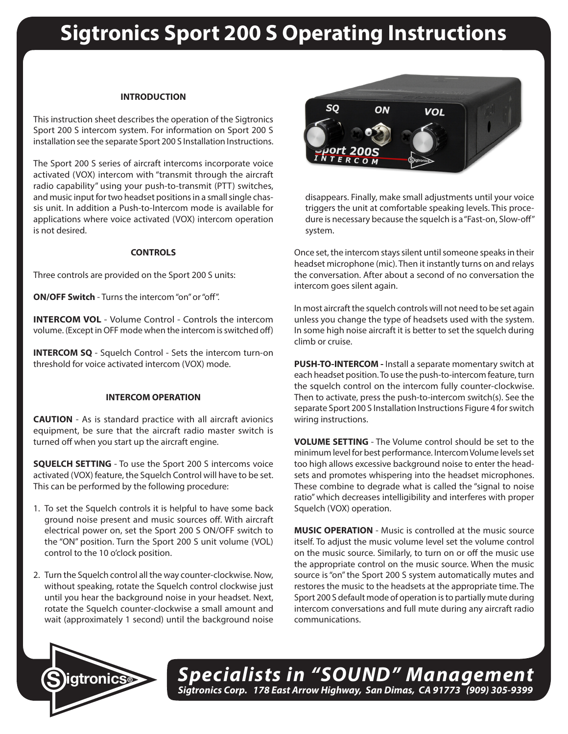# **Sigtronics Sport 200 S Operating Instructions**

## **INTRODUCTION**

This instruction sheet describes the operation of the Sigtronics Sport 200 S intercom system. For information on Sport 200 S installation see the separate Sport 200 S Installation Instructions.

The Sport 200 S series of aircraft intercoms incorporate voice activated (VOX) intercom with "transmit through the aircraft radio capability" using your push-to-transmit (PTT) switches, and music input for two headset positions in a small single chassis unit. In addition a Push-to-Intercom mode is available for applications where voice activated (VOX) intercom operation is not desired.

### **CONTROLS**

Three controls are provided on the Sport 200 S units:

**ON/OFF Switch** - Turns the intercom "on" or "off".

**INTERCOM VOL** - Volume Control - Controls the intercom volume. (Except in OFF mode when the intercom is switched off)

**INTERCOM SQ** - Squelch Control - Sets the intercom turn-on threshold for voice activated intercom (VOX) mode.

## **INTERCOM OPERATION**

**CAUTION** - As is standard practice with all aircraft avionics equipment, be sure that the aircraft radio master switch is turned off when you start up the aircraft engine.

**SQUELCH SETTING** - To use the Sport 200 S intercoms voice activated (VOX) feature, the Squelch Control will have to be set. This can be performed by the following procedure:

- 1. To set the Squelch controls it is helpful to have some back ground noise present and music sources off. With aircraft electrical power on, set the Sport 200 S ON/OFF switch to the "ON" position. Turn the Sport 200 S unit volume (VOL) control to the 10 o'clock position.
- 2. Turn the Squelch control all the way counter-clockwise. Now, without speaking, rotate the Squelch control clockwise just until you hear the background noise in your headset. Next, rotate the Squelch counter-clockwise a small amount and wait (approximately 1 second) until the background noise



disappears. Finally, make small adjustments until your voice triggers the unit at comfortable speaking levels. This procedure is necessary because the squelch is a "Fast-on, Slow-off" system.

Once set, the intercom stays silent until someone speaks in their headset microphone (mic). Then it instantly turns on and relays the conversation. After about a second of no conversation the intercom goes silent again.

In most aircraft the squelch controls will not need to be set again unless you change the type of headsets used with the system. In some high noise aircraft it is better to set the squelch during climb or cruise.

**PUSH-TO-INTERCOM -** Install a separate momentary switch at each headset position. To use the push-to-intercom feature, turn the squelch control on the intercom fully counter-clockwise. Then to activate, press the push-to-intercom switch(s). See the separate Sport 200 S Installation Instructions Figure 4 for switch wiring instructions.

**VOLUME SETTING** - The Volume control should be set to the minimum level for best performance. Intercom Volume levels set too high allows excessive background noise to enter the headsets and promotes whispering into the headset microphones. These combine to degrade what is called the "signal to noise ratio" which decreases intelligibility and interferes with proper Squelch (VOX) operation.

**MUSIC OPERATION** - Music is controlled at the music source itself. To adjust the music volume level set the volume control on the music source. Similarly, to turn on or off the music use the appropriate control on the music source. When the music source is "on" the Sport 200 S system automatically mutes and restores the music to the headsets at the appropriate time. The Sport 200 S default mode of operation is to partially mute during intercom conversations and full mute during any aircraft radio communications.



*Specialists in "SOUND" Management Sigtronics Corp. 178 East Arrow Highway, San Dimas, CA 91773 (909) 305-9399* **S igtronics®**